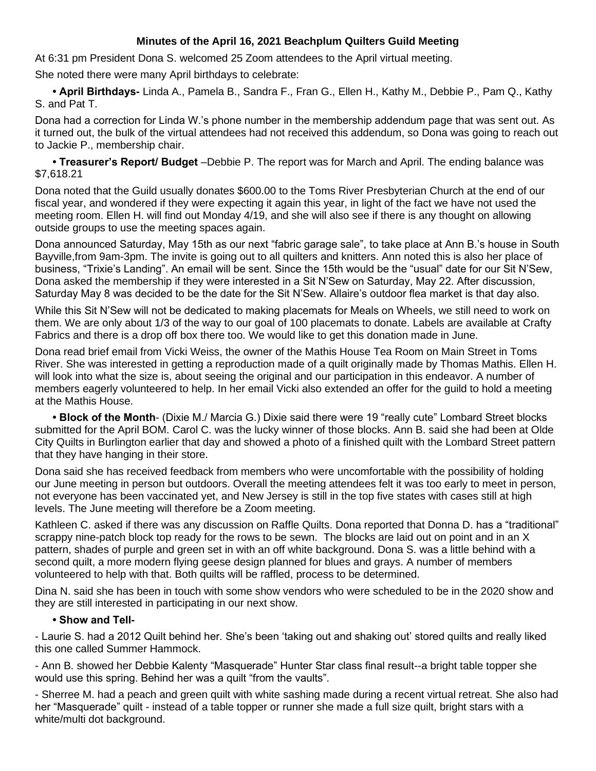## **Minutes of the April 16, 2021 Beachplum Quilters Guild Meeting**

At 6:31 pm President Dona S. welcomed 25 Zoom attendees to the April virtual meeting.

She noted there were many April birthdays to celebrate:

**• April Birthdays-** Linda A., Pamela B., Sandra F., Fran G., Ellen H., Kathy M., Debbie P., Pam Q., Kathy S. and Pat T.

Dona had a correction for Linda W.'s phone number in the membership addendum page that was sent out. As it turned out, the bulk of the virtual attendees had not received this addendum, so Dona was going to reach out to Jackie P., membership chair.

**• Treasurer's Report/ Budget** –Debbie P. The report was for March and April. The ending balance was \$7,618.21

Dona noted that the Guild usually donates \$600.00 to the Toms River Presbyterian Church at the end of our fiscal year, and wondered if they were expecting it again this year, in light of the fact we have not used the meeting room. Ellen H. will find out Monday 4/19, and she will also see if there is any thought on allowing outside groups to use the meeting spaces again.

Dona announced Saturday, May 15th as our next "fabric garage sale", to take place at Ann B.'s house in South Bayville,from 9am-3pm. The invite is going out to all quilters and knitters. Ann noted this is also her place of business, "Trixie's Landing". An email will be sent. Since the 15th would be the "usual" date for our Sit N'Sew, Dona asked the membership if they were interested in a Sit N'Sew on Saturday, May 22. After discussion, Saturday May 8 was decided to be the date for the Sit N'Sew. Allaire's outdoor flea market is that day also.

While this Sit N'Sew will not be dedicated to making placemats for Meals on Wheels, we still need to work on them. We are only about 1/3 of the way to our goal of 100 placemats to donate. Labels are available at Crafty Fabrics and there is a drop off box there too. We would like to get this donation made in June.

Dona read brief email from Vicki Weiss, the owner of the Mathis House Tea Room on Main Street in Toms River. She was interested in getting a reproduction made of a quilt originally made by Thomas Mathis. Ellen H. will look into what the size is, about seeing the original and our participation in this endeavor. A number of members eagerly volunteered to help. In her email Vicki also extended an offer for the guild to hold a meeting at the Mathis House.

**• Block of the Month**- (Dixie M./ Marcia G.) Dixie said there were 19 "really cute" Lombard Street blocks submitted for the April BOM. Carol C. was the lucky winner of those blocks. Ann B. said she had been at Olde City Quilts in Burlington earlier that day and showed a photo of a finished quilt with the Lombard Street pattern that they have hanging in their store.

Dona said she has received feedback from members who were uncomfortable with the possibility of holding our June meeting in person but outdoors. Overall the meeting attendees felt it was too early to meet in person, not everyone has been vaccinated yet, and New Jersey is still in the top five states with cases still at high levels. The June meeting will therefore be a Zoom meeting.

Kathleen C. asked if there was any discussion on Raffle Quilts. Dona reported that Donna D. has a "traditional" scrappy nine-patch block top ready for the rows to be sewn. The blocks are laid out on point and in an X pattern, shades of purple and green set in with an off white background. Dona S. was a little behind with a second quilt, a more modern flying geese design planned for blues and grays. A number of members volunteered to help with that. Both quilts will be raffled, process to be determined.

Dina N. said she has been in touch with some show vendors who were scheduled to be in the 2020 show and they are still interested in participating in our next show.

## **• Show and Tell-**

- Laurie S. had a 2012 Quilt behind her. She's been 'taking out and shaking out' stored quilts and really liked this one called Summer Hammock.

- Ann B. showed her Debbie Kalenty "Masquerade" Hunter Star class final result--a bright table topper she would use this spring. Behind her was a quilt "from the vaults".

- Sherree M. had a peach and green quilt with white sashing made during a recent virtual retreat. She also had her "Masquerade" quilt - instead of a table topper or runner she made a full size quilt, bright stars with a white/multi dot background.